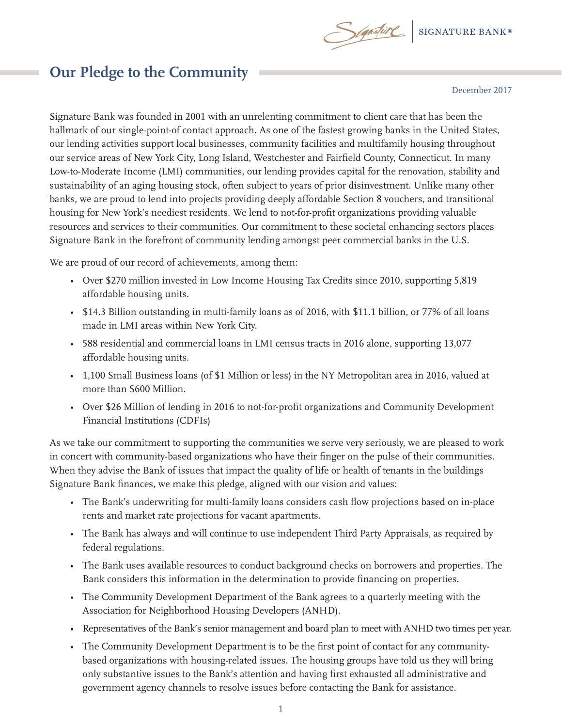

## **Our Pledge to the Community**

December 2017

Signature Bank was founded in 2001 with an unrelenting commitment to client care that has been the hallmark of our single-point-of contact approach. As one of the fastest growing banks in the United States, our lending activities support local businesses, community facilities and multifamily housing throughout our service areas of New York City, Long Island, Westchester and Fairfield County, Connecticut. In many Low-to-Moderate Income (LMI) communities, our lending provides capital for the renovation, stability and sustainability of an aging housing stock, often subject to years of prior disinvestment. Unlike many other banks, we are proud to lend into projects providing deeply affordable Section 8 vouchers, and transitional housing for New York's neediest residents. We lend to not-for-profit organizations providing valuable resources and services to their communities. Our commitment to these societal enhancing sectors places Signature Bank in the forefront of community lending amongst peer commercial banks in the U.S.

We are proud of our record of achievements, among them:

- Over \$270 million invested in Low Income Housing Tax Credits since 2010, supporting 5,819 affordable housing units.
- \$14.3 Billion outstanding in multi-family loans as of 2016, with \$11.1 billion, or 77% of all loans made in LMI areas within New York City.
- 588 residential and commercial loans in LMI census tracts in 2016 alone, supporting 13,077 affordable housing units.
- 1,100 Small Business loans (of \$1 Million or less) in the NY Metropolitan area in 2016, valued at more than \$600 Million.
- Over \$26 Million of lending in 2016 to not-for-profit organizations and Community Development Financial Institutions (CDFIs)

As we take our commitment to supporting the communities we serve very seriously, we are pleased to work in concert with community-based organizations who have their finger on the pulse of their communities. When they advise the Bank of issues that impact the quality of life or health of tenants in the buildings Signature Bank finances, we make this pledge, aligned with our vision and values:

- The Bank's underwriting for multi-family loans considers cash flow projections based on in-place rents and market rate projections for vacant apartments.
- The Bank has always and will continue to use independent Third Party Appraisals, as required by federal regulations.
- The Bank uses available resources to conduct background checks on borrowers and properties. The Bank considers this information in the determination to provide financing on properties.
- The Community Development Department of the Bank agrees to a quarterly meeting with the Association for Neighborhood Housing Developers (ANHD).
- Representatives of the Bank's senior management and board plan to meet with ANHD two times per year.
- The Community Development Department is to be the first point of contact for any communitybased organizations with housing-related issues. The housing groups have told us they will bring only substantive issues to the Bank's attention and having first exhausted all administrative and government agency channels to resolve issues before contacting the Bank for assistance.